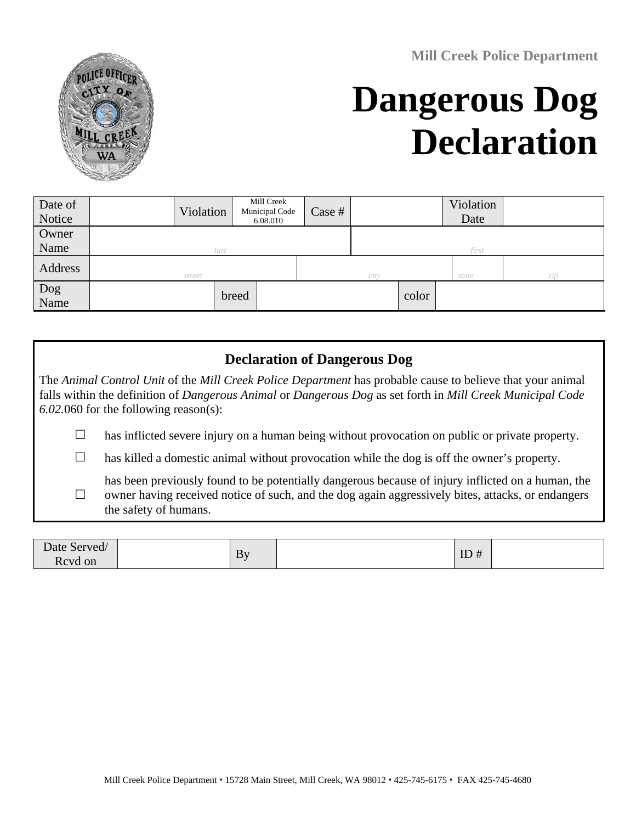**Mill Creek Police Department**



# **Dangerous Dog Declaration**

| Date of<br>Notice |        | Violation | Mill Creek<br>Municipal Code<br>6.08.010 | Case # |       |       | Violation<br>Date |     |
|-------------------|--------|-----------|------------------------------------------|--------|-------|-------|-------------------|-----|
| Owner             |        |           |                                          |        |       |       |                   |     |
| Name              | last   |           |                                          |        | first |       |                   |     |
| Address           | street |           |                                          | city   |       |       | state             | zip |
| Dog<br>Name       |        |           | breed                                    |        |       | color |                   |     |

### **Declaration of Dangerous Dog**

The *Animal Control Unit* of the *Mill Creek Police Department* has probable cause to believe that your animal falls within the definition of *Dangerous Animal* or *Dangerous Dog* as set forth in *Mill Creek Municipal Code 6.02.*060 for the following reason(s):

- $\Box$  has inflicted severe injury on a human being without provocation on public or private property.
- $\Box$  has killed a domestic animal without provocation while the dog is off the owner's property.

 $\Box$ has been previously found to be potentially dangerous because of injury inflicted on a human, the owner having received notice of such, and the dog again aggressively bites, attacks, or endangers the safety of humans.

| Date Served/            | By | ID<br># |  |
|-------------------------|----|---------|--|
| <sub>n</sub><br>Rcvd on |    | $\pi$   |  |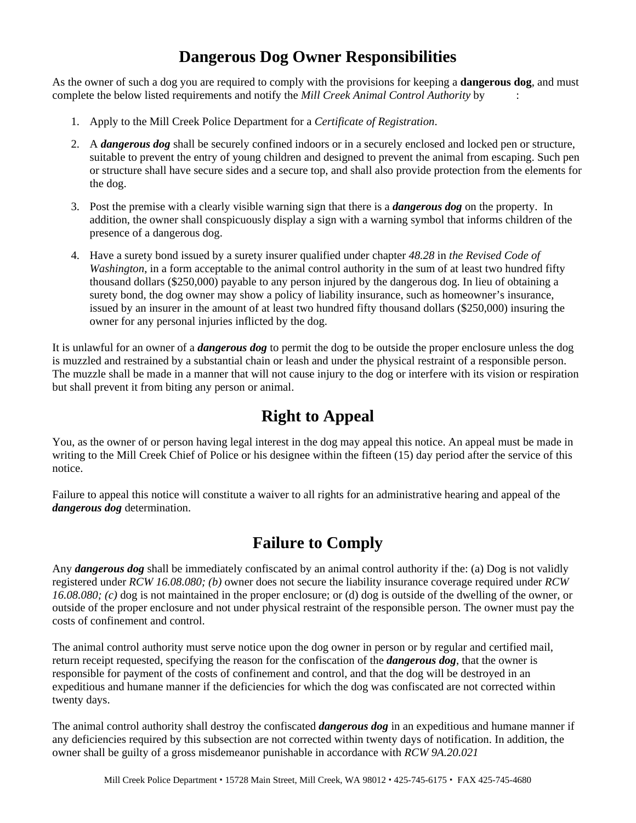## **Dangerous Dog Owner Responsibilities**

As the owner of such a dog you are required to comply with the provisions for keeping a **dangerous dog**, and must complete the below listed requirements and notify the *Mill Creek Animal Control Authority* by :

- 1. Apply to the Mill Creek Police Department for a *Certificate of Registration*.
- 2. A *dangerous dog* shall be securely confined indoors or in a securely enclosed and locked pen or structure, suitable to prevent the entry of young children and designed to prevent the animal from escaping. Such pen or structure shall have secure sides and a secure top, and shall also provide protection from the elements for the dog.
- 3. Post the premise with a clearly visible warning sign that there is a *dangerous dog* on the property. In addition, the owner shall conspicuously display a sign with a warning symbol that informs children of the presence of a dangerous dog.
- 4. Have a surety bond issued by a surety insurer qualified under chapter *48.28* in *the Revised Code of Washington*, in a form acceptable to the animal control authority in the sum of at least two hundred fifty thousand dollars (\$250,000) payable to any person injured by the dangerous dog. In lieu of obtaining a surety bond, the dog owner may show a policy of liability insurance, such as homeowner's insurance, issued by an insurer in the amount of at least two hundred fifty thousand dollars (\$250,000) insuring the owner for any personal injuries inflicted by the dog.

It is unlawful for an owner of a *dangerous dog* to permit the dog to be outside the proper enclosure unless the dog is muzzled and restrained by a substantial chain or leash and under the physical restraint of a responsible person. The muzzle shall be made in a manner that will not cause injury to the dog or interfere with its vision or respiration but shall prevent it from biting any person or animal.

## **Right to Appeal**

You, as the owner of or person having legal interest in the dog may appeal this notice. An appeal must be made in writing to the Mill Creek Chief of Police or his designee within the fifteen (15) day period after the service of this notice.

Failure to appeal this notice will constitute a waiver to all rights for an administrative hearing and appeal of the *dangerous dog* determination.

## **Failure to Comply**

Any *dangerous dog* shall be immediately confiscated by an animal control authority if the: (a) Dog is not validly registered under *RCW 16.08.080; (b)* owner does not secure the liability insurance coverage required under *RCW 16.08.080; (c)* dog is not maintained in the proper enclosure; or (d) dog is outside of the dwelling of the owner, or outside of the proper enclosure and not under physical restraint of the responsible person. The owner must pay the costs of confinement and control.

The animal control authority must serve notice upon the dog owner in person or by regular and certified mail, return receipt requested, specifying the reason for the confiscation of the *dangerous dog*, that the owner is responsible for payment of the costs of confinement and control, and that the dog will be destroyed in an expeditious and humane manner if the deficiencies for which the dog was confiscated are not corrected within twenty days.

The animal control authority shall destroy the confiscated *dangerous dog* in an expeditious and humane manner if any deficiencies required by this subsection are not corrected within twenty days of notification. In addition, the owner shall be guilty of a gross misdemeanor punishable in accordance with *RCW 9A.20.021*